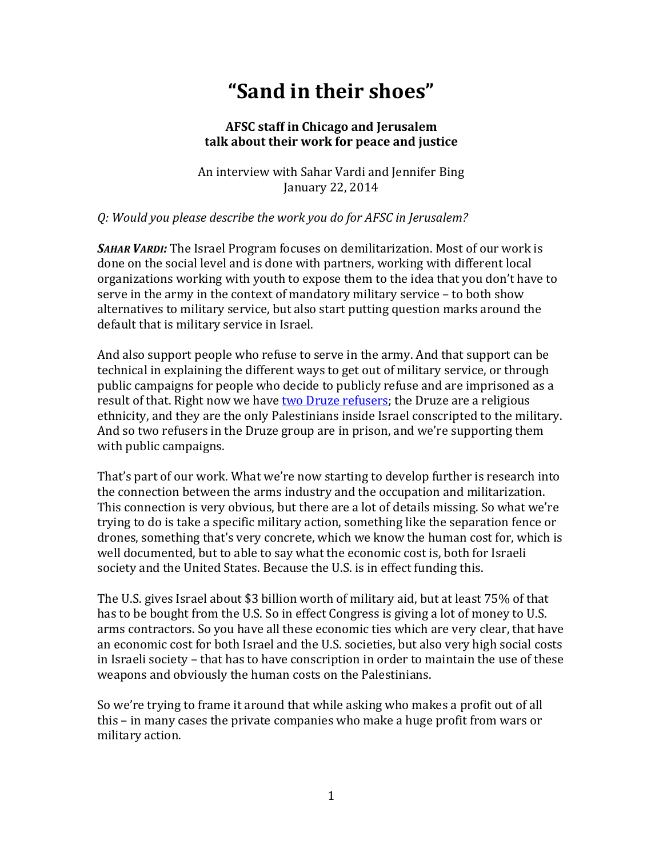# **"Sand in their shoes"**

## **AFSC staff in Chicago and Jerusalem talk about their work for peace and justice**

An interview with Sahar Vardi and Jennifer Bing January 22, 2014

#### *Q: Would you please describe the work you do for AFSC in Jerusalem?*

*SAHAR VARDI:* The Israel Program focuses on demilitarization. Most of our work is done on the social level and is done with partners, working with different local organizations working with youth to expose them to the idea that you don't have to serve in the army in the context of mandatory military service – to both show alternatives to military service, but also start putting question marks around the default that is military service in Israel.

And also support people who refuse to serve in the army. And that support can be technical in explaining the different ways to get out of military service, or through public campaigns for people who decide to publicly refuse and are imprisoned as a result of that. Right now we have [two Druze refusers;](http://afsc.org/story/slideshow-omar-saad-druze-refuses-serve-israeli-military) the Druze are a religious ethnicity, and they are the only Palestinians inside Israel conscripted to the military. And so two refusers in the Druze group are in prison, and we're supporting them with public campaigns.

That's part of our work. What we're now starting to develop further is research into the connection between the arms industry and the occupation and militarization. This connection is very obvious, but there are a lot of details missing. So what we're trying to do is take a specific military action, something like the separation fence or drones, something that's very concrete, which we know the human cost for, which is well documented, but to able to say what the economic cost is, both for Israeli society and the United States. Because the U.S. is in effect funding this.

The U.S. gives Israel about \$3 billion worth of military aid, but at least 75% of that has to be bought from the U.S. So in effect Congress is giving a lot of money to U.S. arms contractors. So you have all these economic ties which are very clear, that have an economic cost for both Israel and the U.S. societies, but also very high social costs in Israeli society – that has to have conscription in order to maintain the use of these weapons and obviously the human costs on the Palestinians.

So we're trying to frame it around that while asking who makes a profit out of all this – in many cases the private companies who make a huge profit from wars or military action.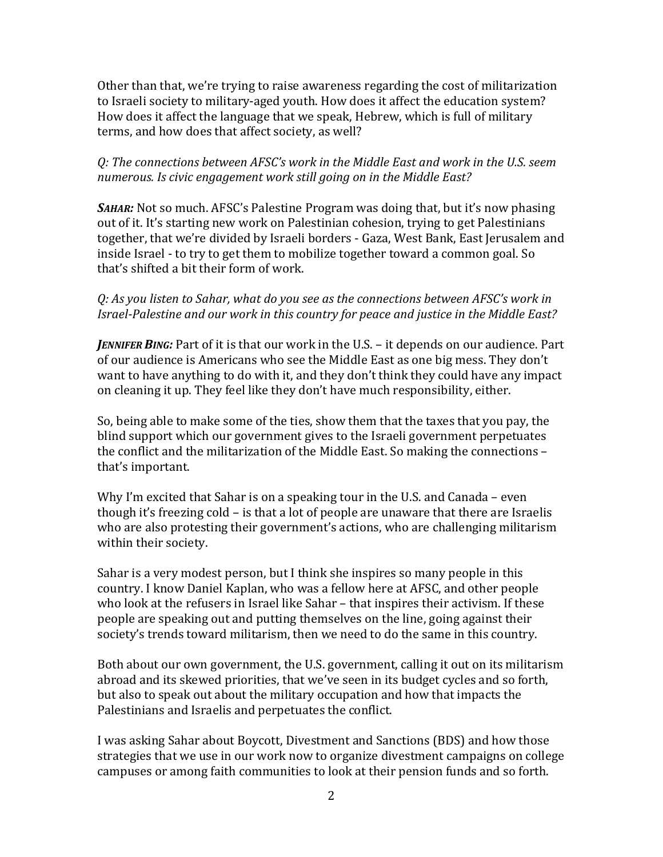Other than that, we're trying to raise awareness regarding the cost of militarization to Israeli society to military-aged youth. How does it affect the education system? How does it affect the language that we speak, Hebrew, which is full of military terms, and how does that affect society, as well?

### *Q: The connections between AFSC's work in the Middle East and work in the U.S. seem numerous. Is civic engagement work still going on in the Middle East?*

SAHAR: Not so much. AFSC's Palestine Program was doing that, but it's now phasing out of it. It's starting new work on Palestinian cohesion, trying to get Palestinians together, that we're divided by Israeli borders - Gaza, West Bank, East Jerusalem and inside Israel - to try to get them to mobilize together toward a common goal. So that's shifted a bit their form of work.

## *Q: As you listen to Sahar, what do you see as the connections between AFSC's work in Israel-Palestine and our work in this country for peace and justice in the Middle East?*

*JENNIFER BING:* Part of it is that our work in the U.S. – it depends on our audience. Part of our audience is Americans who see the Middle East as one big mess. They don't want to have anything to do with it, and they don't think they could have any impact on cleaning it up. They feel like they don't have much responsibility, either.

So, being able to make some of the ties, show them that the taxes that you pay, the blind support which our government gives to the Israeli government perpetuates the conflict and the militarization of the Middle East. So making the connections – that's important.

Why I'm excited that Sahar is on a speaking tour in the U.S. and Canada – even though it's freezing cold – is that a lot of people are unaware that there are Israelis who are also protesting their government's actions, who are challenging militarism within their society.

Sahar is a very modest person, but I think she inspires so many people in this country. I know Daniel Kaplan, who was a fellow here at AFSC, and other people who look at the refusers in Israel like Sahar – that inspires their activism. If these people are speaking out and putting themselves on the line, going against their society's trends toward militarism, then we need to do the same in this country.

Both about our own government, the U.S. government, calling it out on its militarism abroad and its skewed priorities, that we've seen in its budget cycles and so forth, but also to speak out about the military occupation and how that impacts the Palestinians and Israelis and perpetuates the conflict.

I was asking Sahar about Boycott, Divestment and Sanctions (BDS) and how those strategies that we use in our work now to organize divestment campaigns on college campuses or among faith communities to look at their pension funds and so forth.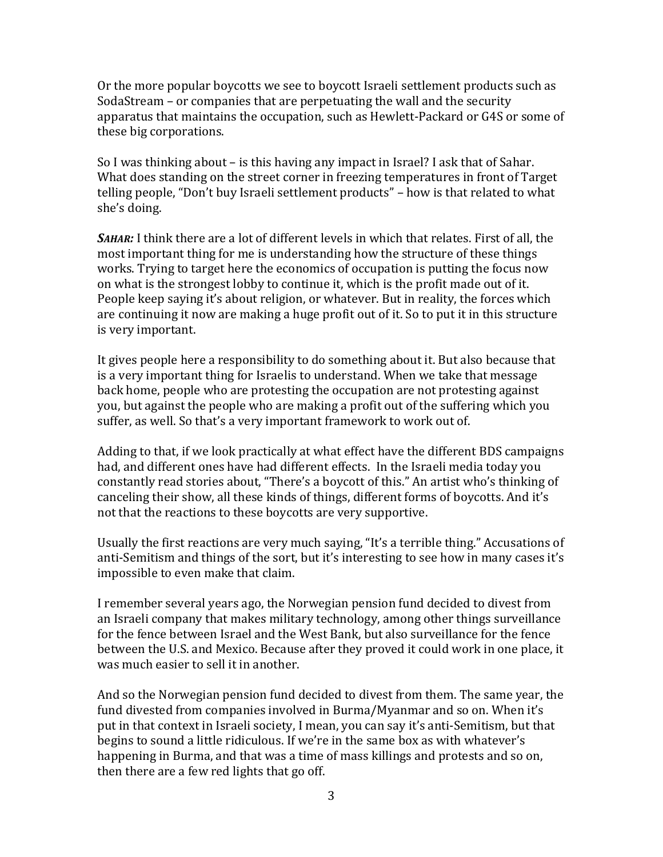Or the more popular boycotts we see to boycott Israeli settlement products such as SodaStream – or companies that are perpetuating the wall and the security apparatus that maintains the occupation, such as Hewlett-Packard or G4S or some of these big corporations.

So I was thinking about – is this having any impact in Israel? I ask that of Sahar. What does standing on the street corner in freezing temperatures in front of Target telling people, "Don't buy Israeli settlement products" – how is that related to what she's doing.

*SAHAR:* I think there are a lot of different levels in which that relates. First of all, the most important thing for me is understanding how the structure of these things works. Trying to target here the economics of occupation is putting the focus now on what is the strongest lobby to continue it, which is the profit made out of it. People keep saying it's about religion, or whatever. But in reality, the forces which are continuing it now are making a huge profit out of it. So to put it in this structure is very important.

It gives people here a responsibility to do something about it. But also because that is a very important thing for Israelis to understand. When we take that message back home, people who are protesting the occupation are not protesting against you, but against the people who are making a profit out of the suffering which you suffer, as well. So that's a very important framework to work out of.

Adding to that, if we look practically at what effect have the different BDS campaigns had, and different ones have had different effects. In the Israeli media today you constantly read stories about, "There's a boycott of this." An artist who's thinking of canceling their show, all these kinds of things, different forms of boycotts. And it's not that the reactions to these boycotts are very supportive.

Usually the first reactions are very much saying, "It's a terrible thing." Accusations of anti-Semitism and things of the sort, but it's interesting to see how in many cases it's impossible to even make that claim.

I remember several years ago, the Norwegian pension fund decided to divest from an Israeli company that makes military technology, among other things surveillance for the fence between Israel and the West Bank, but also surveillance for the fence between the U.S. and Mexico. Because after they proved it could work in one place, it was much easier to sell it in another.

And so the Norwegian pension fund decided to divest from them. The same year, the fund divested from companies involved in Burma/Myanmar and so on. When it's put in that context in Israeli society, I mean, you can say it's anti-Semitism, but that begins to sound a little ridiculous. If we're in the same box as with whatever's happening in Burma, and that was a time of mass killings and protests and so on, then there are a few red lights that go off.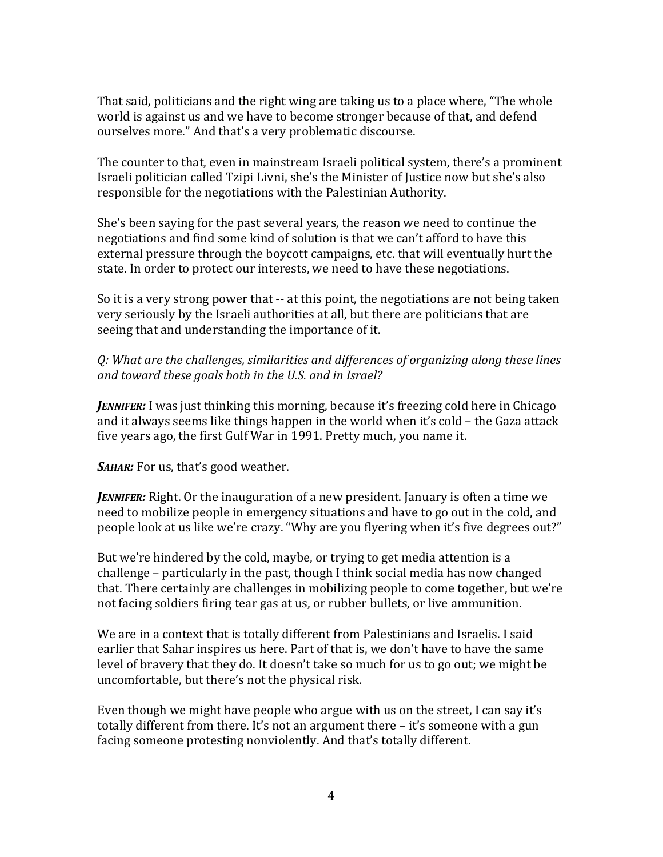That said, politicians and the right wing are taking us to a place where, "The whole world is against us and we have to become stronger because of that, and defend ourselves more." And that's a very problematic discourse.

The counter to that, even in mainstream Israeli political system, there's a prominent Israeli politician called Tzipi Livni, she's the Minister of Justice now but she's also responsible for the negotiations with the Palestinian Authority.

She's been saying for the past several years, the reason we need to continue the negotiations and find some kind of solution is that we can't afford to have this external pressure through the boycott campaigns, etc. that will eventually hurt the state. In order to protect our interests, we need to have these negotiations.

So it is a very strong power that -- at this point, the negotiations are not being taken very seriously by the Israeli authorities at all, but there are politicians that are seeing that and understanding the importance of it.

*Q: What are the challenges, similarities and differences of organizing along these lines and toward these goals both in the U.S. and in Israel?*

*JENNIFER:* I was just thinking this morning, because it's freezing cold here in Chicago and it always seems like things happen in the world when it's cold – the Gaza attack five years ago, the first Gulf War in 1991. Pretty much, you name it.

*SAHAR:* For us, that's good weather.

*JENNIFER:* Right. Or the inauguration of a new president. January is often a time we need to mobilize people in emergency situations and have to go out in the cold, and people look at us like we're crazy. "Why are you flyering when it's five degrees out?"

But we're hindered by the cold, maybe, or trying to get media attention is a challenge – particularly in the past, though I think social media has now changed that. There certainly are challenges in mobilizing people to come together, but we're not facing soldiers firing tear gas at us, or rubber bullets, or live ammunition.

We are in a context that is totally different from Palestinians and Israelis. I said earlier that Sahar inspires us here. Part of that is, we don't have to have the same level of bravery that they do. It doesn't take so much for us to go out; we might be uncomfortable, but there's not the physical risk.

Even though we might have people who argue with us on the street, I can say it's totally different from there. It's not an argument there – it's someone with a gun facing someone protesting nonviolently. And that's totally different.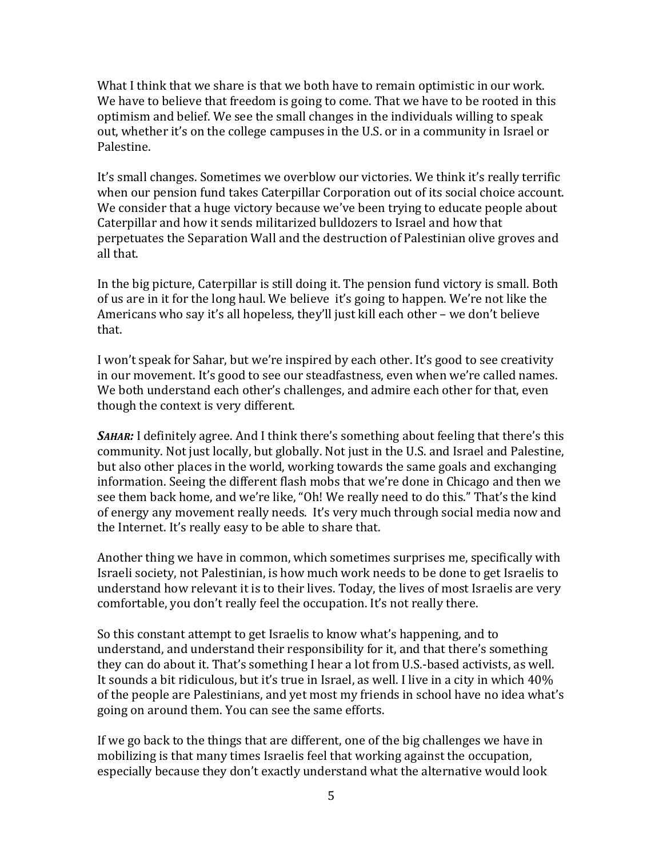What I think that we share is that we both have to remain optimistic in our work. We have to believe that freedom is going to come. That we have to be rooted in this optimism and belief. We see the small changes in the individuals willing to speak out, whether it's on the college campuses in the U.S. or in a community in Israel or Palestine.

It's small changes. Sometimes we overblow our victories. We think it's really terrific when our pension fund takes Caterpillar Corporation out of its social choice account. We consider that a huge victory because we've been trying to educate people about Caterpillar and how it sends militarized bulldozers to Israel and how that perpetuates the Separation Wall and the destruction of Palestinian olive groves and all that.

In the big picture, Caterpillar is still doing it. The pension fund victory is small. Both of us are in it for the long haul. We believe it's going to happen. We're not like the Americans who say it's all hopeless, they'll just kill each other – we don't believe that.

I won't speak for Sahar, but we're inspired by each other. It's good to see creativity in our movement. It's good to see our steadfastness, even when we're called names. We both understand each other's challenges, and admire each other for that, even though the context is very different.

*SAHAR:* I definitely agree. And I think there's something about feeling that there's this community. Not just locally, but globally. Not just in the U.S. and Israel and Palestine, but also other places in the world, working towards the same goals and exchanging information. Seeing the different flash mobs that we're done in Chicago and then we see them back home, and we're like, "Oh! We really need to do this." That's the kind of energy any movement really needs. It's very much through social media now and the Internet. It's really easy to be able to share that.

Another thing we have in common, which sometimes surprises me, specifically with Israeli society, not Palestinian, is how much work needs to be done to get Israelis to understand how relevant it is to their lives. Today, the lives of most Israelis are very comfortable, you don't really feel the occupation. It's not really there.

So this constant attempt to get Israelis to know what's happening, and to understand, and understand their responsibility for it, and that there's something they can do about it. That's something I hear a lot from U.S.-based activists, as well. It sounds a bit ridiculous, but it's true in Israel, as well. I live in a city in which 40% of the people are Palestinians, and yet most my friends in school have no idea what's going on around them. You can see the same efforts.

If we go back to the things that are different, one of the big challenges we have in mobilizing is that many times Israelis feel that working against the occupation, especially because they don't exactly understand what the alternative would look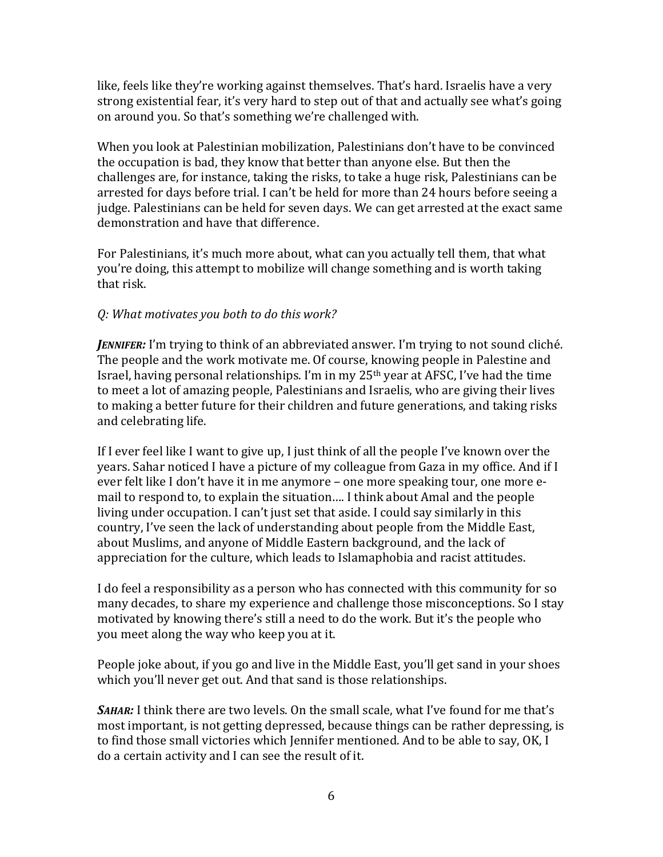like, feels like they're working against themselves. That's hard. Israelis have a very strong existential fear, it's very hard to step out of that and actually see what's going on around you. So that's something we're challenged with.

When you look at Palestinian mobilization, Palestinians don't have to be convinced the occupation is bad, they know that better than anyone else. But then the challenges are, for instance, taking the risks, to take a huge risk, Palestinians can be arrested for days before trial. I can't be held for more than 24 hours before seeing a judge. Palestinians can be held for seven days. We can get arrested at the exact same demonstration and have that difference.

For Palestinians, it's much more about, what can you actually tell them, that what you're doing, this attempt to mobilize will change something and is worth taking that risk.

## *Q: What motivates you both to do this work?*

*JENNIFER:* I'm trying to think of an abbreviated answer. I'm trying to not sound cliché. The people and the work motivate me. Of course, knowing people in Palestine and Israel, having personal relationships. I'm in my  $25<sup>th</sup>$  year at AFSC, I've had the time to meet a lot of amazing people, Palestinians and Israelis, who are giving their lives to making a better future for their children and future generations, and taking risks and celebrating life.

If I ever feel like I want to give up, I just think of all the people I've known over the years. Sahar noticed I have a picture of my colleague from Gaza in my office. And if I ever felt like I don't have it in me anymore – one more speaking tour, one more email to respond to, to explain the situation…. I think about Amal and the people living under occupation. I can't just set that aside. I could say similarly in this country, I've seen the lack of understanding about people from the Middle East, about Muslims, and anyone of Middle Eastern background, and the lack of appreciation for the culture, which leads to Islamaphobia and racist attitudes.

I do feel a responsibility as a person who has connected with this community for so many decades, to share my experience and challenge those misconceptions. So I stay motivated by knowing there's still a need to do the work. But it's the people who you meet along the way who keep you at it.

People joke about, if you go and live in the Middle East, you'll get sand in your shoes which you'll never get out. And that sand is those relationships.

**SAHAR:** I think there are two levels. On the small scale, what I've found for me that's most important, is not getting depressed, because things can be rather depressing, is to find those small victories which Jennifer mentioned. And to be able to say, OK, I do a certain activity and I can see the result of it.